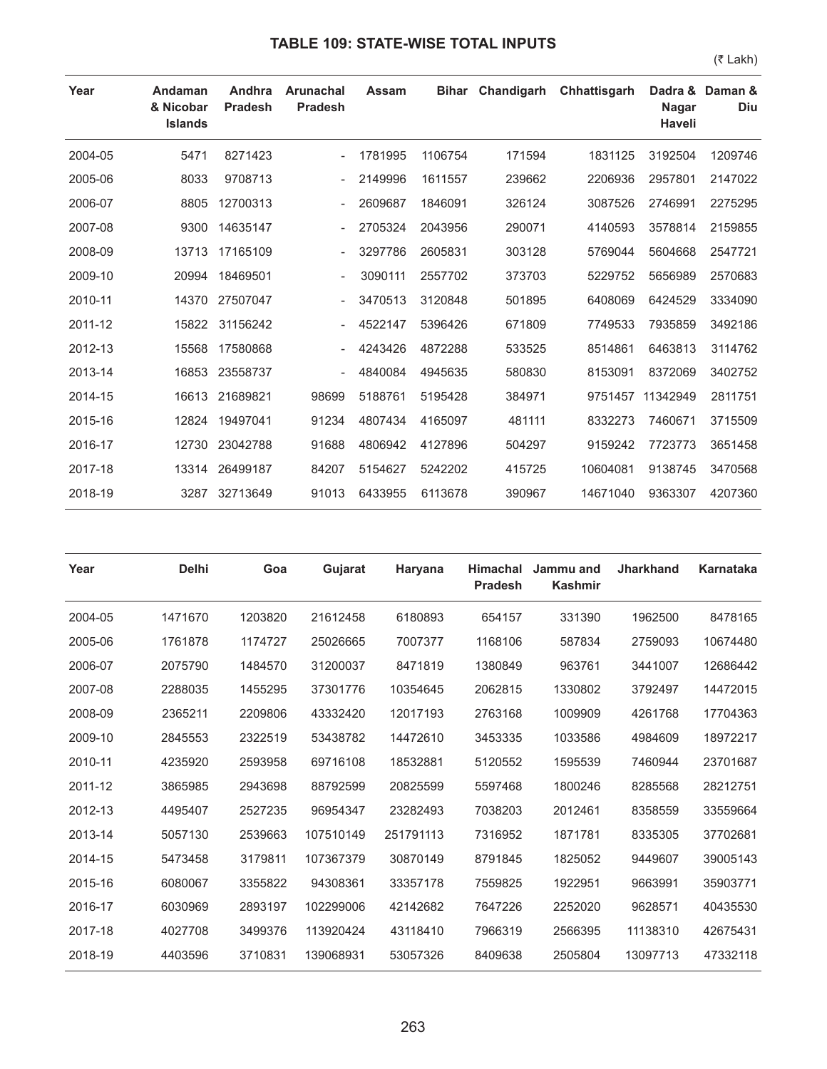| Year    | Andaman<br>& Nicobar<br><b>Islands</b> | Andhra<br><b>Pradesh</b> | <b>Arunachal</b><br><b>Pradesh</b> | <b>Assam</b> | <b>Bihar</b> | Chandigarh | Chhattisgarh | Dadra &<br><b>Nagar</b><br><b>Haveli</b> | Daman &<br><b>Diu</b> |
|---------|----------------------------------------|--------------------------|------------------------------------|--------------|--------------|------------|--------------|------------------------------------------|-----------------------|
| 2004-05 | 5471                                   | 8271423                  |                                    | 1781995      | 1106754      | 171594     | 1831125      | 3192504                                  | 1209746               |
| 2005-06 | 8033                                   | 9708713                  |                                    | 2149996      | 1611557      | 239662     | 2206936      | 2957801                                  | 2147022               |
| 2006-07 | 8805                                   | 12700313                 |                                    | 2609687      | 1846091      | 326124     | 3087526      | 2746991                                  | 2275295               |
| 2007-08 | 9300                                   | 14635147                 |                                    | 2705324      | 2043956      | 290071     | 4140593      | 3578814                                  | 2159855               |
| 2008-09 | 13713                                  | 17165109                 |                                    | 3297786      | 2605831      | 303128     | 5769044      | 5604668                                  | 2547721               |
| 2009-10 | 20994                                  | 18469501                 |                                    | 3090111      | 2557702      | 373703     | 5229752      | 5656989                                  | 2570683               |
| 2010-11 | 14370                                  | 27507047                 |                                    | 3470513      | 3120848      | 501895     | 6408069      | 6424529                                  | 3334090               |
| 2011-12 | 15822                                  | 31156242                 |                                    | 4522147      | 5396426      | 671809     | 7749533      | 7935859                                  | 3492186               |
| 2012-13 | 15568                                  | 17580868                 |                                    | 4243426      | 4872288      | 533525     | 8514861      | 6463813                                  | 3114762               |
| 2013-14 | 16853                                  | 23558737                 |                                    | 4840084      | 4945635      | 580830     | 8153091      | 8372069                                  | 3402752               |
| 2014-15 | 16613                                  | 21689821                 | 98699                              | 5188761      | 5195428      | 384971     | 9751457      | 11342949                                 | 2811751               |
| 2015-16 | 12824                                  | 19497041                 | 91234                              | 4807434      | 4165097      | 481111     | 8332273      | 7460671                                  | 3715509               |
| 2016-17 | 12730                                  | 23042788                 | 91688                              | 4806942      | 4127896      | 504297     | 9159242      | 7723773                                  | 3651458               |
| 2017-18 | 13314                                  | 26499187                 | 84207                              | 5154627      | 5242202      | 415725     | 10604081     | 9138745                                  | 3470568               |
| 2018-19 | 3287                                   | 32713649                 | 91013                              | 6433955      | 6113678      | 390967     | 14671040     | 9363307                                  | 4207360               |

| Year    | <b>Delhi</b> | Goa     | Gujarat   | Haryana   | <b>Himachal</b><br><b>Pradesh</b> | Jammu and<br><b>Kashmir</b> | <b>Jharkhand</b> | Karnataka |
|---------|--------------|---------|-----------|-----------|-----------------------------------|-----------------------------|------------------|-----------|
| 2004-05 | 1471670      | 1203820 | 21612458  | 6180893   | 654157                            | 331390                      | 1962500          | 8478165   |
| 2005-06 | 1761878      | 1174727 | 25026665  | 7007377   | 1168106                           | 587834                      | 2759093          | 10674480  |
| 2006-07 | 2075790      | 1484570 | 31200037  | 8471819   | 1380849                           | 963761                      | 3441007          | 12686442  |
| 2007-08 | 2288035      | 1455295 | 37301776  | 10354645  | 2062815                           | 1330802                     | 3792497          | 14472015  |
| 2008-09 | 2365211      | 2209806 | 43332420  | 12017193  | 2763168                           | 1009909                     | 4261768          | 17704363  |
| 2009-10 | 2845553      | 2322519 | 53438782  | 14472610  | 3453335                           | 1033586                     | 4984609          | 18972217  |
| 2010-11 | 4235920      | 2593958 | 69716108  | 18532881  | 5120552                           | 1595539                     | 7460944          | 23701687  |
| 2011-12 | 3865985      | 2943698 | 88792599  | 20825599  | 5597468                           | 1800246                     | 8285568          | 28212751  |
| 2012-13 | 4495407      | 2527235 | 96954347  | 23282493  | 7038203                           | 2012461                     | 8358559          | 33559664  |
| 2013-14 | 5057130      | 2539663 | 107510149 | 251791113 | 7316952                           | 1871781                     | 8335305          | 37702681  |
| 2014-15 | 5473458      | 3179811 | 107367379 | 30870149  | 8791845                           | 1825052                     | 9449607          | 39005143  |
| 2015-16 | 6080067      | 3355822 | 94308361  | 33357178  | 7559825                           | 1922951                     | 9663991          | 35903771  |
| 2016-17 | 6030969      | 2893197 | 102299006 | 42142682  | 7647226                           | 2252020                     | 9628571          | 40435530  |
| 2017-18 | 4027708      | 3499376 | 113920424 | 43118410  | 7966319                           | 2566395                     | 11138310         | 42675431  |
| 2018-19 | 4403596      | 3710831 | 139068931 | 53057326  | 8409638                           | 2505804                     | 13097713         | 47332118  |